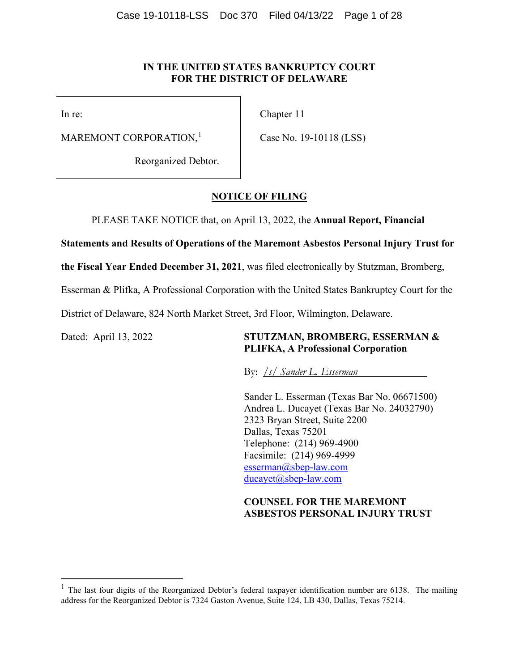#### **IN THE UNITED STATES BANKRUPTCY COURT FOR THE DISTRICT OF DELAWARE**

In re:

MAREMONT CORPORATION,<sup>[1](#page-0-0)</sup>

Chapter 11

Case No. 19-10118 (LSS)

Reorganized Debtor.

## **NOTICE OF FILING**

PLEASE TAKE NOTICE that, on April 13, 2022, the **Annual Report, Financial** 

**Statements and Results of Operations of the Maremont Asbestos Personal Injury Trust for** 

**the Fiscal Year Ended December 31, 2021**, was filed electronically by Stutzman, Bromberg,

Esserman & Plifka, A Professional Corporation with the United States Bankruptcy Court for the

District of Delaware, 824 North Market Street, 3rd Floor, Wilmington, Delaware.

#### Dated: April 13, 2022 **STUTZMAN, BROMBERG, ESSERMAN & PLIFKA, A Professional Corporation**

By: */s/ Sander L. Esserman*

Sander L. Esserman (Texas Bar No. 06671500) Andrea L. Ducayet (Texas Bar No. 24032790) 2323 Bryan Street, Suite 2200 Dallas, Texas 75201 Telephone: (214) 969-4900 Facsimile: (214) 969-4999 [esserman@sbep-law.com](mailto:esserman@sbep-law.com) [ducayet@sbep-law.com](mailto:ducayet@sbep-law.com)

#### **COUNSEL FOR THE MAREMONT ASBESTOS PERSONAL INJURY TRUST**

<span id="page-0-0"></span><sup>&</sup>lt;sup>1</sup> The last four digits of the Reorganized Debtor's federal taxpayer identification number are 6138. The mailing address for the Reorganized Debtor is 7324 Gaston Avenue, Suite 124, LB 430, Dallas, Texas 75214.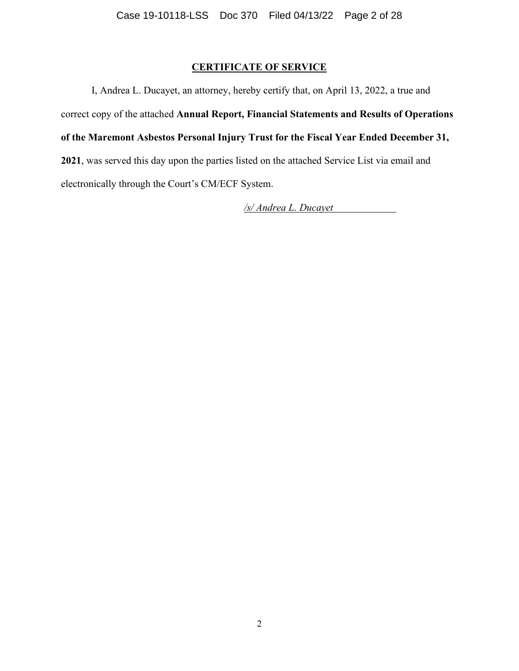## **CERTIFICATE OF SERVICE**

I, Andrea L. Ducayet, an attorney, hereby certify that, on April 13, 2022, a true and correct copy of the attached **Annual Report, Financial Statements and Results of Operations of the Maremont Asbestos Personal Injury Trust for the Fiscal Year Ended December 31, 2021**, was served this day upon the parties listed on the attached Service List via email and electronically through the Court's CM/ECF System.

*/s/ Andrea L. Ducayet*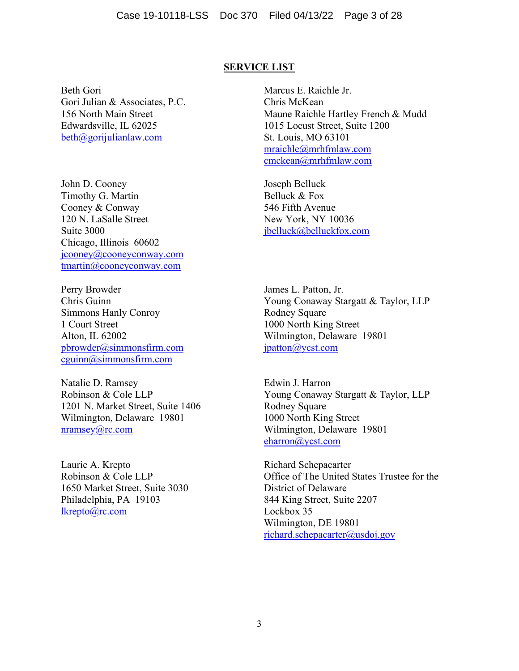#### **SERVICE LIST**

Beth Gori Gori Julian & Associates, P.C. 156 North Main Street Edwardsville, IL 62025 [beth@gorijulianlaw.com](mailto:beth@gorijulianlaw.com)

John D. Cooney Timothy G. Martin Cooney & Conway 120 N. LaSalle Street Suite 3000 Chicago, Illinois 60602 [jcooney@cooneyconway.com](mailto:jcooney@cooneyconway.com) [tmartin@cooneyconway.com](mailto:tmartin@cooneyconway.com)

Perry Browder Chris Guinn Simmons Hanly Conroy 1 Court Street Alton, IL 62002 [pbrowder@simmonsfirm.com](mailto:pbrowder@simmonsfirm.com) [cguinn@simmonsfirm.com](mailto:cguinn@simmonsfirm.com)

Natalie D. Ramsey Robinson & Cole LLP 1201 N. Market Street, Suite 1406 Wilmington, Delaware 19801 [nramsey@rc.com](mailto:nramsey@rc.com)

Laurie A. Krepto Robinson & Cole LLP 1650 Market Street, Suite 3030 Philadelphia, PA 19103 [lkrepto@rc.com](mailto:lkrepto@rc.com)

Marcus E. Raichle Jr. Chris McKean Maune Raichle Hartley French & Mudd 1015 Locust Street, Suite 1200 St. Louis, MO 63101 [mraichle@mrhfmlaw.com](mailto:mraichle@mrhfmlaw.com) [cmckean@mrhfmlaw.com](mailto:cmckean@mrhfmlaw.com)

Joseph Belluck Belluck & Fox 546 Fifth Avenue New York, NY 10036 [jbelluck@belluckfox.com](mailto:jbelluck@belluckfox.com)

James L. Patton, Jr. Young Conaway Stargatt & Taylor, LLP Rodney Square 1000 North King Street Wilmington, Delaware 19801 [jpatton@ycst.com](mailto:jpatton@ycst.com)

Edwin J. Harron Young Conaway Stargatt & Taylor, LLP Rodney Square 1000 North King Street Wilmington, Delaware 19801 [eharron@ycst.com](mailto:eharron@ycst.com)

Richard Schepacarter Office of The United States Trustee for the District of Delaware 844 King Street, Suite 2207 Lockbox 35 Wilmington, DE 19801 [richard.schepacarter@usdoj.gov](mailto:richard.schepacarter@usdoj.gov)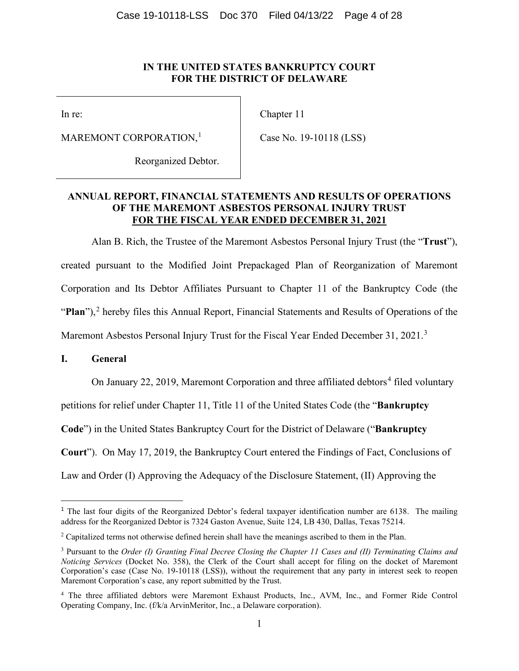#### **IN THE UNITED STATES BANKRUPTCY COURT FOR THE DISTRICT OF DELAWARE**

In re:

MAREMONT CORPORATION,<sup>[1](#page-3-0)</sup>

Chapter 11

Case No. 19-10118 (LSS)

Reorganized Debtor.

#### **ANNUAL REPORT, FINANCIAL STATEMENTS AND RESULTS OF OPERATIONS OF THE MAREMONT ASBESTOS PERSONAL INJURY TRUST FOR THE FISCAL YEAR ENDED DECEMBER 31, 2021**

Alan B. Rich, the Trustee of the Maremont Asbestos Personal Injury Trust (the "**Trust**"), created pursuant to the Modified Joint Prepackaged Plan of Reorganization of Maremont Corporation and Its Debtor Affiliates Pursuant to Chapter 11 of the Bankruptcy Code (the "Plan"),<sup>[2](#page-3-1)</sup> hereby files this Annual Report, Financial Statements and Results of Operations of the Maremont Asbestos Personal Injury Trust for the Fiscal Year Ended December [3](#page-3-2)1, 2021.<sup>3</sup>

#### **I. General**

On January 22, 2019, Maremont Corporation and three affiliated debtors<sup>[4](#page-3-3)</sup> filed voluntary

petitions for relief under Chapter 11, Title 11 of the United States Code (the "**Bankruptcy** 

**Code**") in the United States Bankruptcy Court for the District of Delaware ("**Bankruptcy** 

**Court**"). On May 17, 2019, the Bankruptcy Court entered the Findings of Fact, Conclusions of

Law and Order (I) Approving the Adequacy of the Disclosure Statement, (II) Approving the

<span id="page-3-0"></span><sup>&</sup>lt;sup>1</sup> The last four digits of the Reorganized Debtor's federal taxpayer identification number are 6138. The mailing address for the Reorganized Debtor is 7324 Gaston Avenue, Suite 124, LB 430, Dallas, Texas 75214.

<span id="page-3-1"></span><sup>&</sup>lt;sup>2</sup> Capitalized terms not otherwise defined herein shall have the meanings ascribed to them in the Plan.

<span id="page-3-2"></span><sup>3</sup> Pursuant to the *Order (I) Granting Final Decree Closing the Chapter 11 Cases and (II) Terminating Claims and Noticing Services* (Docket No. 358), the Clerk of the Court shall accept for filing on the docket of Maremont Corporation's case (Case No. 19-10118 (LSS)), without the requirement that any party in interest seek to reopen Maremont Corporation's case, any report submitted by the Trust.

<span id="page-3-3"></span><sup>4</sup> The three affiliated debtors were Maremont Exhaust Products, Inc., AVM, Inc., and Former Ride Control Operating Company, Inc. (f/k/a ArvinMeritor, Inc., a Delaware corporation).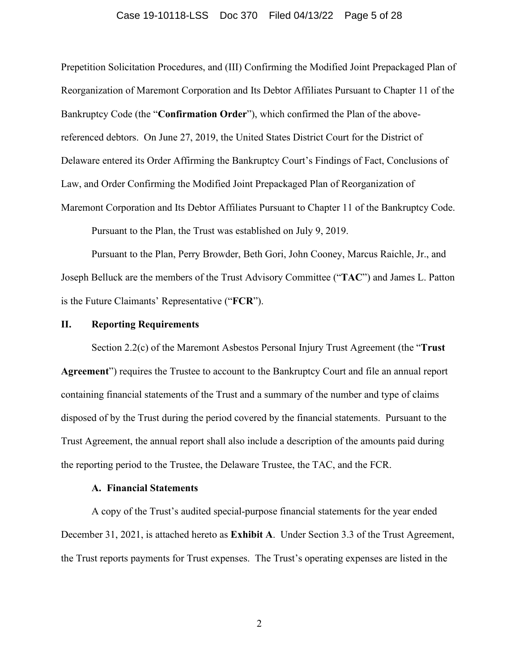#### Case 19-10118-LSS Doc 370 Filed 04/13/22 Page 5 of 28

Prepetition Solicitation Procedures, and (III) Confirming the Modified Joint Prepackaged Plan of Reorganization of Maremont Corporation and Its Debtor Affiliates Pursuant to Chapter 11 of the Bankruptcy Code (the "**Confirmation Order**"), which confirmed the Plan of the abovereferenced debtors. On June 27, 2019, the United States District Court for the District of Delaware entered its Order Affirming the Bankruptcy Court's Findings of Fact, Conclusions of Law, and Order Confirming the Modified Joint Prepackaged Plan of Reorganization of Maremont Corporation and Its Debtor Affiliates Pursuant to Chapter 11 of the Bankruptcy Code.

Pursuant to the Plan, the Trust was established on July 9, 2019.

Pursuant to the Plan, Perry Browder, Beth Gori, John Cooney, Marcus Raichle, Jr., and Joseph Belluck are the members of the Trust Advisory Committee ("**TAC**") and James L. Patton is the Future Claimants' Representative ("**FCR**").

#### **II. Reporting Requirements**

Section 2.2(c) of the Maremont Asbestos Personal Injury Trust Agreement (the "**Trust Agreement**") requires the Trustee to account to the Bankruptcy Court and file an annual report containing financial statements of the Trust and a summary of the number and type of claims disposed of by the Trust during the period covered by the financial statements. Pursuant to the Trust Agreement, the annual report shall also include a description of the amounts paid during the reporting period to the Trustee, the Delaware Trustee, the TAC, and the FCR.

#### **A. Financial Statements**

A copy of the Trust's audited special-purpose financial statements for the year ended December 31, 2021, is attached hereto as **Exhibit A**. Under Section 3.3 of the Trust Agreement, the Trust reports payments for Trust expenses. The Trust's operating expenses are listed in the

2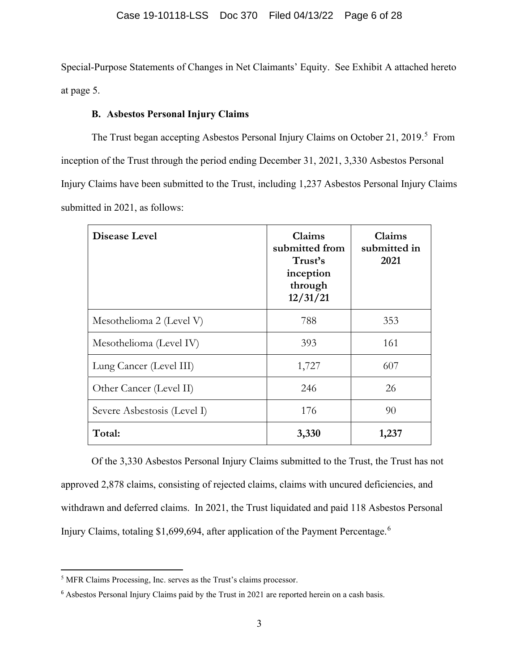Special-Purpose Statements of Changes in Net Claimants' Equity. See Exhibit A attached hereto at page 5.

#### **B. Asbestos Personal Injury Claims**

The Trust began accepting Asbestos Personal Injury Claims on October 21, 2019.<sup>[5](#page-5-0)</sup> From inception of the Trust through the period ending December 31, 2021, 3,330 Asbestos Personal Injury Claims have been submitted to the Trust, including 1,237 Asbestos Personal Injury Claims submitted in 2021, as follows:

| Disease Level               | <b>Claims</b><br>submitted from<br>Trust's<br>inception<br>through<br>12/31/21 | <b>Claims</b><br>submitted in<br>2021 |  |  |  |
|-----------------------------|--------------------------------------------------------------------------------|---------------------------------------|--|--|--|
| Mesothelioma 2 (Level V)    | 788                                                                            | 353                                   |  |  |  |
| Mesothelioma (Level IV)     | 393                                                                            | 161                                   |  |  |  |
| Lung Cancer (Level III)     | 1,727                                                                          | 607                                   |  |  |  |
| Other Cancer (Level II)     | 246                                                                            | 26                                    |  |  |  |
| Severe Asbestosis (Level I) | 176                                                                            | 90                                    |  |  |  |
| Total:                      | 3,330                                                                          | 1,237                                 |  |  |  |

Of the 3,330 Asbestos Personal Injury Claims submitted to the Trust, the Trust has not approved 2,878 claims, consisting of rejected claims, claims with uncured deficiencies, and withdrawn and deferred claims. In 2021, the Trust liquidated and paid 118 Asbestos Personal Injury Claims, totaling \$1,699,694, after application of the Payment Percentage. [6](#page-5-1)

<span id="page-5-0"></span><sup>5</sup> MFR Claims Processing, Inc. serves as the Trust's claims processor.

<span id="page-5-1"></span><sup>6</sup> Asbestos Personal Injury Claims paid by the Trust in 2021 are reported herein on a cash basis.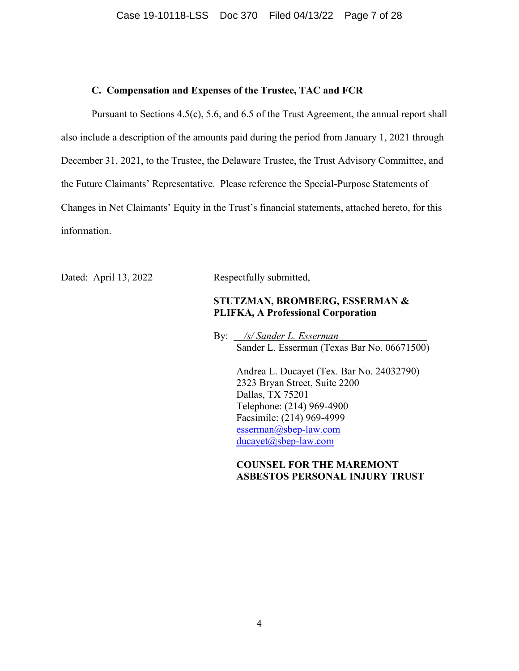#### **C. Compensation and Expenses of the Trustee, TAC and FCR**

Pursuant to Sections 4.5(c), 5.6, and 6.5 of the Trust Agreement, the annual report shall also include a description of the amounts paid during the period from January 1, 2021 through December 31, 2021, to the Trustee, the Delaware Trustee, the Trust Advisory Committee, and the Future Claimants' Representative. Please reference the Special-Purpose Statements of Changes in Net Claimants' Equity in the Trust's financial statements, attached hereto, for this information.

Dated: April 13, 2022 Respectfully submitted,

#### **STUTZMAN, BROMBERG, ESSERMAN & PLIFKA, A Professional Corporation**

By: */s/ Sander L. Esserman* Sander L. Esserman (Texas Bar No. 06671500)

> Andrea L. Ducayet (Tex. Bar No. 24032790) 2323 Bryan Street, Suite 2200 Dallas, TX 75201 Telephone: (214) 969-4900 Facsimile: (214) 969-4999 [esserman@sbep-law.com](mailto:esserman@sbep-law.com) [ducayet@sbep-law.com](mailto:ducayet@sbep-law.com)

**COUNSEL FOR THE MAREMONT ASBESTOS PERSONAL INJURY TRUST**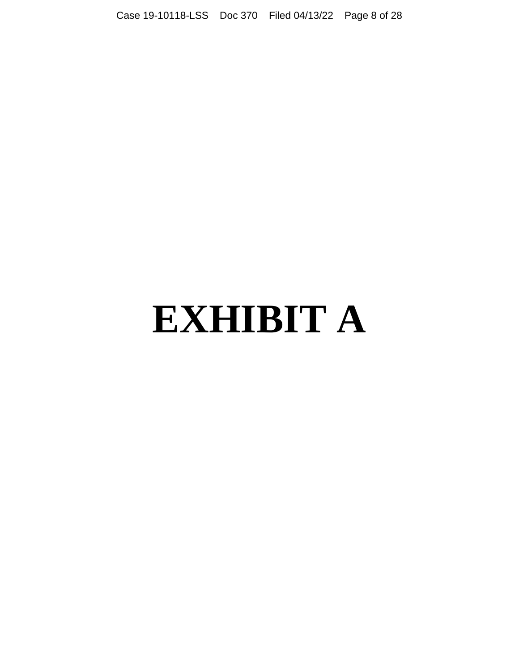Case 19-10118-LSS Doc 370 Filed 04/13/22 Page 8 of 28

# **EXHIBIT A**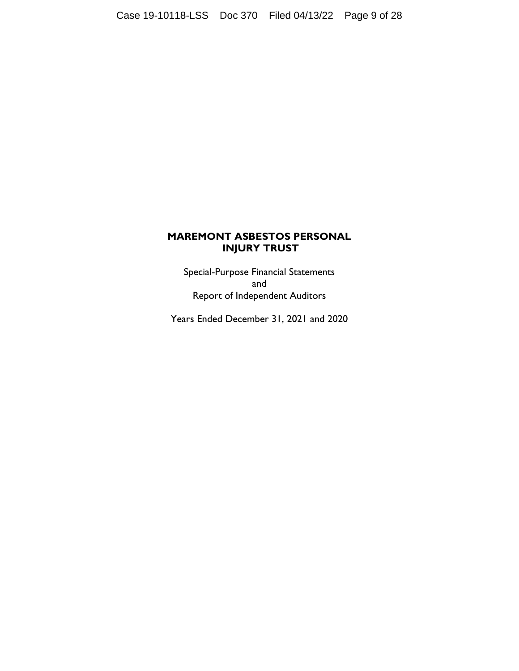Special-Purpose Financial Statements and Report of Independent Auditors

Years Ended December 31, 2021 and 2020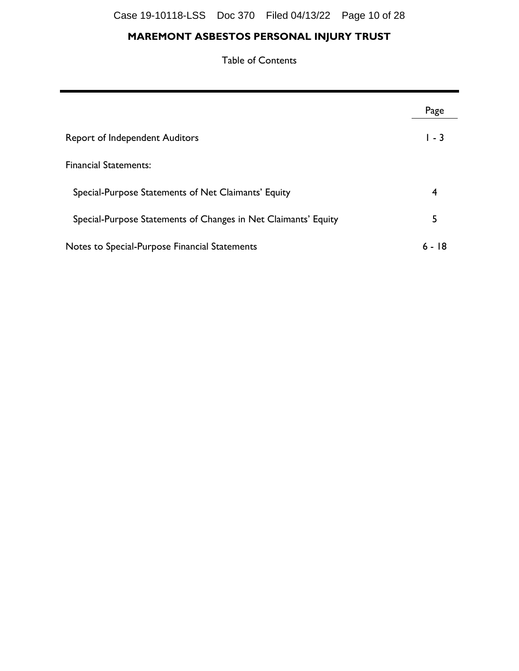Case 19-10118-LSS Doc 370 Filed 04/13/22 Page 10 of 28

# **MAREMONT ASBESTOS PERSONAL INJURY TRUST**

# Table of Contents

|                                                                | Page    |
|----------------------------------------------------------------|---------|
| <b>Report of Independent Auditors</b>                          | $1 - 3$ |
| <b>Financial Statements:</b>                                   |         |
| Special-Purpose Statements of Net Claimants' Equity            | 4       |
| Special-Purpose Statements of Changes in Net Claimants' Equity | 5       |
| Notes to Special-Purpose Financial Statements                  | 6 - 18  |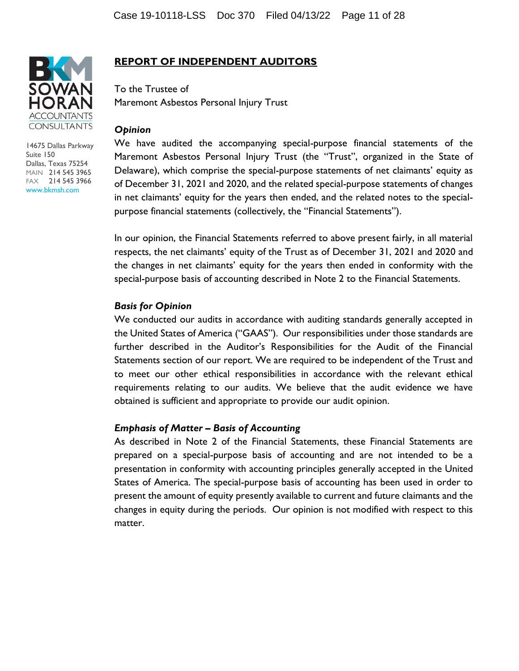

14675 Dallas Parkway Suite 150 Dallas, Texas 75254 MAIN 214 545 3965 FAX 214 545 3966 www.bkmsh.com

#### **REPORT OF INDEPENDENT AUDITORS**

To the Trustee of Maremont Asbestos Personal Injury Trust

#### *Opinion*

We have audited the accompanying special-purpose financial statements of the Maremont Asbestos Personal Injury Trust (the "Trust", organized in the State of Delaware), which comprise the special-purpose statements of net claimants' equity as of December 31, 2021 and 2020, and the related special-purpose statements of changes in net claimants' equity for the years then ended, and the related notes to the specialpurpose financial statements (collectively, the "Financial Statements").

In our opinion, the Financial Statements referred to above present fairly, in all material respects, the net claimants' equity of the Trust as of December 31, 2021 and 2020 and the changes in net claimants' equity for the years then ended in conformity with the special-purpose basis of accounting described in Note 2 to the Financial Statements.

#### *Basis for Opinion*

We conducted our audits in accordance with auditing standards generally accepted in the United States of America ("GAAS"). Our responsibilities under those standards are further described in the Auditor's Responsibilities for the Audit of the Financial Statements section of our report. We are required to be independent of the Trust and to meet our other ethical responsibilities in accordance with the relevant ethical requirements relating to our audits. We believe that the audit evidence we have obtained is sufficient and appropriate to provide our audit opinion.

#### *Emphasis of Matter – Basis of Accounting*

As described in Note 2 of the Financial Statements, these Financial Statements are prepared on a special-purpose basis of accounting and are not intended to be a presentation in conformity with accounting principles generally accepted in the United States of America. The special-purpose basis of accounting has been used in order to present the amount of equity presently available to current and future claimants and the changes in equity during the periods. Our opinion is not modified with respect to this matter.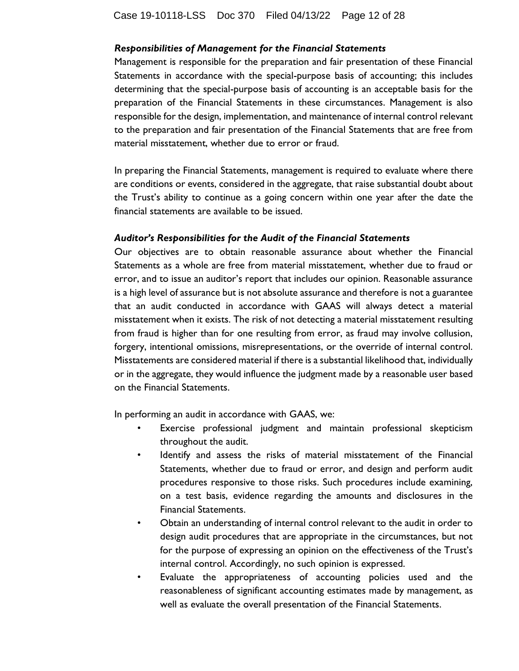#### *Responsibilities of Management for the Financial Statements*

Management is responsible for the preparation and fair presentation of these Financial Statements in accordance with the special-purpose basis of accounting; this includes determining that the special-purpose basis of accounting is an acceptable basis for the preparation of the Financial Statements in these circumstances. Management is also responsible for the design, implementation, and maintenance of internal control relevant to the preparation and fair presentation of the Financial Statements that are free from material misstatement, whether due to error or fraud.

In preparing the Financial Statements, management is required to evaluate where there are conditions or events, considered in the aggregate, that raise substantial doubt about the Trust's ability to continue as a going concern within one year after the date the financial statements are available to be issued.

#### *Auditor's Responsibilities for the Audit of the Financial Statements*

Our objectives are to obtain reasonable assurance about whether the Financial Statements as a whole are free from material misstatement, whether due to fraud or error, and to issue an auditor's report that includes our opinion. Reasonable assurance is a high level of assurance but is not absolute assurance and therefore is not a guarantee that an audit conducted in accordance with GAAS will always detect a material misstatement when it exists. The risk of not detecting a material misstatement resulting from fraud is higher than for one resulting from error, as fraud may involve collusion, forgery, intentional omissions, misrepresentations, or the override of internal control. Misstatements are considered material if there is a substantial likelihood that, individually or in the aggregate, they would influence the judgment made by a reasonable user based on the Financial Statements.

In performing an audit in accordance with GAAS, we:

- Exercise professional judgment and maintain professional skepticism throughout the audit.
- Identify and assess the risks of material misstatement of the Financial Statements, whether due to fraud or error, and design and perform audit procedures responsive to those risks. Such procedures include examining, on a test basis, evidence regarding the amounts and disclosures in the Financial Statements.
- Obtain an understanding of internal control relevant to the audit in order to design audit procedures that are appropriate in the circumstances, but not for the purpose of expressing an opinion on the effectiveness of the Trust's internal control. Accordingly, no such opinion is expressed.
- Evaluate the appropriateness of accounting policies used and the reasonableness of significant accounting estimates made by management, as well as evaluate the overall presentation of the Financial Statements.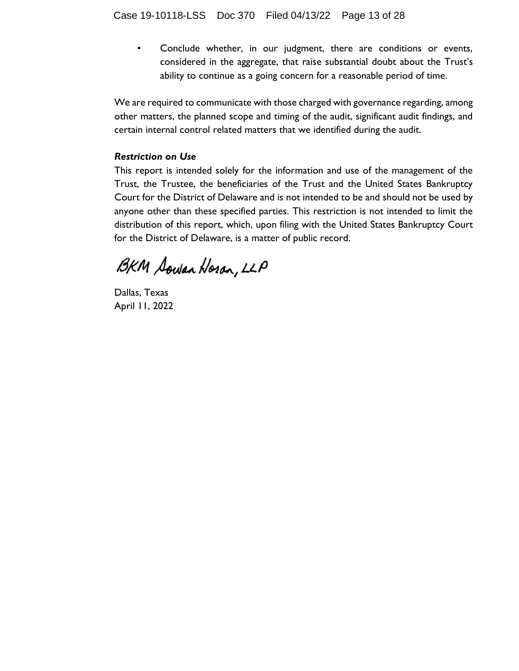• Conclude whether, in our judgment, there are conditions or events, considered in the aggregate, that raise substantial doubt about the Trust's ability to continue as a going concern for a reasonable period of time.

We are required to communicate with those charged with governance regarding, among other matters, the planned scope and timing of the audit, significant audit findings, and certain internal control related matters that we identified during the audit.

#### *Restriction on Use*

This report is intended solely for the information and use of the management of the Trust, the Trustee, the beneficiaries of the Trust and the United States Bankruptcy Court for the District of Delaware and is not intended to be and should not be used by anyone other than these specified parties. This restriction is not intended to limit the distribution of this report, which, upon filing with the United States Bankruptcy Court for the District of Delaware, is a matter of public record.

BKM Sowan Horan, LLP

Dallas, Texas April 11, 2022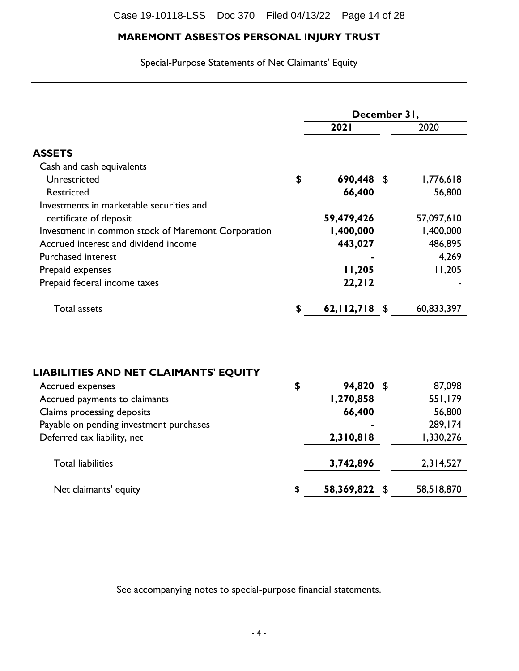Special-Purpose Statements of Net Claimants' Equity

|                                                    | December 31, |                 |      |            |
|----------------------------------------------------|--------------|-----------------|------|------------|
|                                                    |              | 2021            |      | 2020       |
| <b>ASSETS</b>                                      |              |                 |      |            |
| Cash and cash equivalents                          |              |                 |      |            |
| Unrestricted                                       | \$           | 690,448         | - \$ | 1,776,618  |
| <b>Restricted</b>                                  |              | 66,400          |      | 56,800     |
| Investments in marketable securities and           |              |                 |      |            |
| certificate of deposit                             |              | 59,479,426      |      | 57,097,610 |
| Investment in common stock of Maremont Corporation |              | 1,400,000       |      | 1,400,000  |
| Accrued interest and dividend income               |              | 443,027         |      | 486,895    |
| <b>Purchased interest</b>                          |              |                 |      | 4,269      |
| Prepaid expenses                                   |              | 11,205          |      | 11,205     |
| Prepaid federal income taxes                       |              | 22,212          |      |            |
| <b>Total assets</b>                                | \$           | $62,112,718$ \$ |      | 60,833,397 |
| <b>LIABILITIES AND NET CLAIMANTS' EQUITY</b>       |              |                 |      |            |
| Accrued expenses                                   | \$           | 94,820 \$       |      | 87,098     |
| Accrued payments to claimants                      |              | 1,270,858       |      | 551,179    |
| Claims processing deposits                         |              | 66,400          |      | 56,800     |
| Payable on pending investment purchases            |              |                 |      | 289,174    |
| Deferred tax liability, net                        |              | 2,310,818       |      | 1,330,276  |
| <b>Total liabilities</b>                           |              | 3,742,896       |      | 2,314,527  |
| Net claimants' equity                              |              | 58,369,822      |      | 58,518,870 |

See accompanying notes to special-purpose financial statements.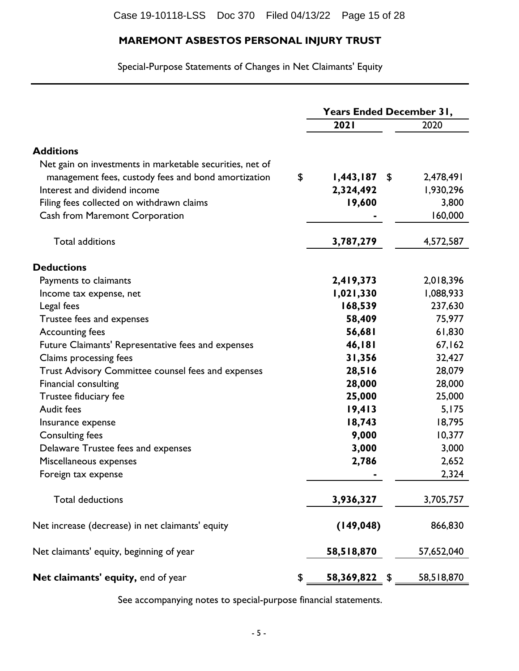Special-Purpose Statements of Changes in Net Claimants' Equity

|                                                          | Years Ended December 31, |               |              |            |
|----------------------------------------------------------|--------------------------|---------------|--------------|------------|
|                                                          |                          | <b>2021</b>   |              | 2020       |
| <b>Additions</b>                                         |                          |               |              |            |
| Net gain on investments in marketable securities, net of |                          |               |              |            |
| management fees, custody fees and bond amortization      | \$                       | 1,443,187     | $\mathsf{S}$ | 2,478,491  |
| Interest and dividend income                             |                          | 2,324,492     |              | 1,930,296  |
| Filing fees collected on withdrawn claims                |                          | 19,600        |              | 3,800      |
| <b>Cash from Maremont Corporation</b>                    |                          |               |              | 160,000    |
| <b>Total additions</b>                                   |                          | 3,787,279     |              | 4,572,587  |
| <b>Deductions</b>                                        |                          |               |              |            |
| Payments to claimants                                    |                          | 2,419,373     |              | 2,018,396  |
| Income tax expense, net                                  |                          | 1,021,330     |              | 1,088,933  |
| Legal fees                                               |                          | 168,539       |              | 237,630    |
| Trustee fees and expenses                                |                          | 58,409        |              | 75,977     |
| <b>Accounting fees</b>                                   |                          | 56,681        |              | 61,830     |
| Future Claimants' Representative fees and expenses       |                          | 46,181        |              | 67,162     |
| Claims processing fees                                   |                          | 31,356        |              | 32,427     |
| Trust Advisory Committee counsel fees and expenses       |                          | 28,516        |              | 28,079     |
| Financial consulting                                     |                          | 28,000        |              | 28,000     |
| Trustee fiduciary fee                                    |                          | 25,000        |              | 25,000     |
| <b>Audit fees</b>                                        |                          | 19,413        |              | 5,175      |
| Insurance expense                                        |                          | 18,743        |              | 18,795     |
| <b>Consulting fees</b>                                   |                          | 9,000         |              | 10,377     |
| Delaware Trustee fees and expenses                       |                          | 3,000         |              | 3,000      |
| Miscellaneous expenses                                   |                          | 2,786         |              | 2,652      |
| Foreign tax expense                                      |                          |               |              | 2,324      |
| <b>Total deductions</b>                                  |                          | 3,936,327     |              | 3,705,757  |
| Net increase (decrease) in net claimants' equity         |                          | (149, 048)    |              | 866,830    |
| Net claimants' equity, beginning of year                 |                          | 58,518,870    |              | 57,652,040 |
| Net claimants' equity, end of year                       | \$                       | 58,369,822 \$ |              | 58,518,870 |

See accompanying notes to special-purpose financial statements.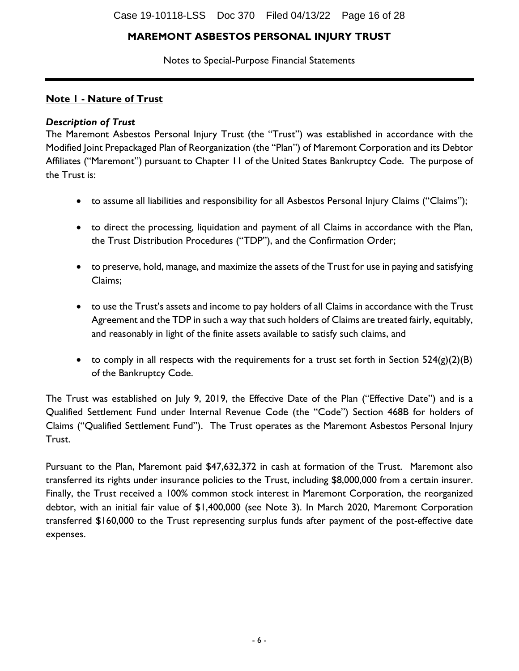Case 19-10118-LSS Doc 370 Filed 04/13/22 Page 16 of 28

# **MAREMONT ASBESTOS PERSONAL INJURY TRUST**

Notes to Special-Purpose Financial Statements

## **Note 1 - Nature of Trust**

#### *Description of Trust*

The Maremont Asbestos Personal Injury Trust (the "Trust") was established in accordance with the Modified Joint Prepackaged Plan of Reorganization (the "Plan") of Maremont Corporation and its Debtor Affiliates ("Maremont") pursuant to Chapter 11 of the United States Bankruptcy Code. The purpose of the Trust is:

- to assume all liabilities and responsibility for all Asbestos Personal Injury Claims ("Claims");
- to direct the processing, liquidation and payment of all Claims in accordance with the Plan, the Trust Distribution Procedures ("TDP"), and the Confirmation Order;
- to preserve, hold, manage, and maximize the assets of the Trust for use in paying and satisfying Claims;
- to use the Trust's assets and income to pay holders of all Claims in accordance with the Trust Agreement and the TDP in such a way that such holders of Claims are treated fairly, equitably, and reasonably in light of the finite assets available to satisfy such claims, and
- to comply in all respects with the requirements for a trust set forth in Section  $524(g)(2)(B)$ of the Bankruptcy Code.

The Trust was established on July 9, 2019, the Effective Date of the Plan ("Effective Date") and is a Qualified Settlement Fund under Internal Revenue Code (the "Code") Section 468B for holders of Claims ("Qualified Settlement Fund"). The Trust operates as the Maremont Asbestos Personal Injury Trust.

Pursuant to the Plan, Maremont paid \$47,632,372 in cash at formation of the Trust. Maremont also transferred its rights under insurance policies to the Trust, including \$8,000,000 from a certain insurer. Finally, the Trust received a 100% common stock interest in Maremont Corporation, the reorganized debtor, with an initial fair value of \$1,400,000 (see Note 3). In March 2020, Maremont Corporation transferred \$160,000 to the Trust representing surplus funds after payment of the post-effective date expenses.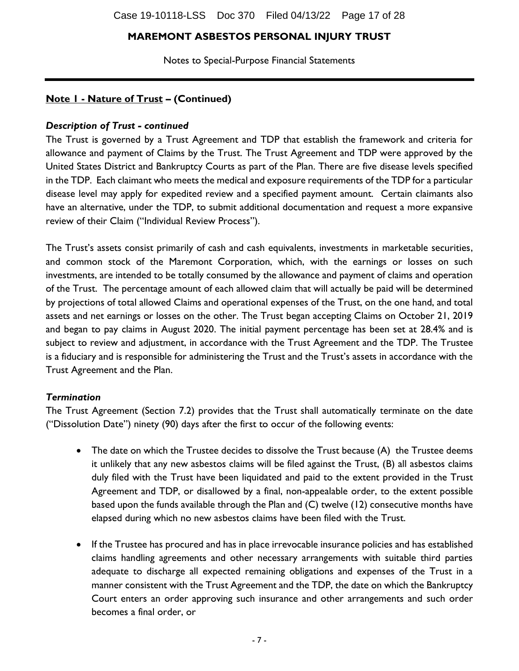Notes to Special-Purpose Financial Statements

# **Note 1 - Nature of Trust – (Continued)**

#### *Description of Trust - continued*

The Trust is governed by a Trust Agreement and TDP that establish the framework and criteria for allowance and payment of Claims by the Trust. The Trust Agreement and TDP were approved by the United States District and Bankruptcy Courts as part of the Plan. There are five disease levels specified in the TDP. Each claimant who meets the medical and exposure requirements of the TDP for a particular disease level may apply for expedited review and a specified payment amount. Certain claimants also have an alternative, under the TDP, to submit additional documentation and request a more expansive review of their Claim ("Individual Review Process").

The Trust's assets consist primarily of cash and cash equivalents, investments in marketable securities, and common stock of the Maremont Corporation, which, with the earnings or losses on such investments, are intended to be totally consumed by the allowance and payment of claims and operation of the Trust. The percentage amount of each allowed claim that will actually be paid will be determined by projections of total allowed Claims and operational expenses of the Trust, on the one hand, and total assets and net earnings or losses on the other. The Trust began accepting Claims on October 21, 2019 and began to pay claims in August 2020. The initial payment percentage has been set at 28.4% and is subject to review and adjustment, in accordance with the Trust Agreement and the TDP. The Trustee is a fiduciary and is responsible for administering the Trust and the Trust's assets in accordance with the Trust Agreement and the Plan.

## *Termination*

The Trust Agreement (Section 7.2) provides that the Trust shall automatically terminate on the date ("Dissolution Date") ninety (90) days after the first to occur of the following events:

- The date on which the Trustee decides to dissolve the Trust because (A) the Trustee deems it unlikely that any new asbestos claims will be filed against the Trust, (B) all asbestos claims duly filed with the Trust have been liquidated and paid to the extent provided in the Trust Agreement and TDP, or disallowed by a final, non-appealable order, to the extent possible based upon the funds available through the Plan and (C) twelve (12) consecutive months have elapsed during which no new asbestos claims have been filed with the Trust.
- If the Trustee has procured and has in place irrevocable insurance policies and has established claims handling agreements and other necessary arrangements with suitable third parties adequate to discharge all expected remaining obligations and expenses of the Trust in a manner consistent with the Trust Agreement and the TDP, the date on which the Bankruptcy Court enters an order approving such insurance and other arrangements and such order becomes a final order, or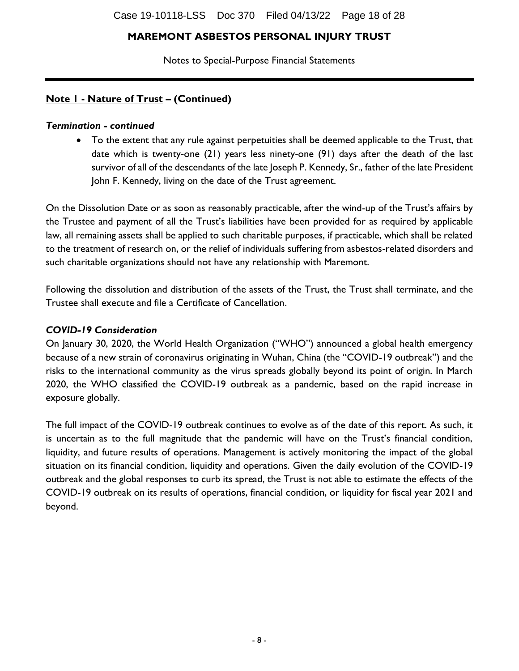Notes to Special-Purpose Financial Statements

# **Note 1 - Nature of Trust – (Continued)**

# *Termination - continued*

• To the extent that any rule against perpetuities shall be deemed applicable to the Trust, that date which is twenty-one (21) years less ninety-one (91) days after the death of the last survivor of all of the descendants of the late Joseph P. Kennedy, Sr., father of the late President John F. Kennedy, living on the date of the Trust agreement.

On the Dissolution Date or as soon as reasonably practicable, after the wind-up of the Trust's affairs by the Trustee and payment of all the Trust's liabilities have been provided for as required by applicable law, all remaining assets shall be applied to such charitable purposes, if practicable, which shall be related to the treatment of research on, or the relief of individuals suffering from asbestos-related disorders and such charitable organizations should not have any relationship with Maremont.

Following the dissolution and distribution of the assets of the Trust, the Trust shall terminate, and the Trustee shall execute and file a Certificate of Cancellation.

# *COVID-19 Consideration*

On January 30, 2020, the World Health Organization ("WHO") announced a global health emergency because of a new strain of coronavirus originating in Wuhan, China (the "COVID-19 outbreak") and the risks to the international community as the virus spreads globally beyond its point of origin. In March 2020, the WHO classified the COVID-19 outbreak as a pandemic, based on the rapid increase in exposure globally.

The full impact of the COVID-19 outbreak continues to evolve as of the date of this report. As such, it is uncertain as to the full magnitude that the pandemic will have on the Trust's financial condition, liquidity, and future results of operations. Management is actively monitoring the impact of the global situation on its financial condition, liquidity and operations. Given the daily evolution of the COVID-19 outbreak and the global responses to curb its spread, the Trust is not able to estimate the effects of the COVID-19 outbreak on its results of operations, financial condition, or liquidity for fiscal year 2021 and beyond.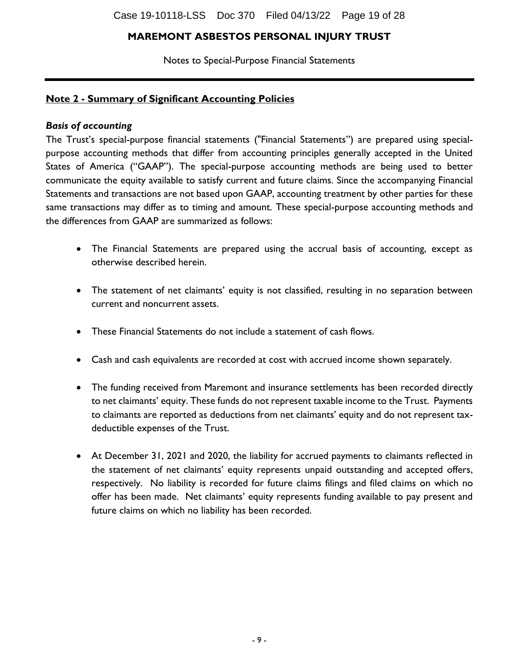Case 19-10118-LSS Doc 370 Filed 04/13/22 Page 19 of 28

# **MAREMONT ASBESTOS PERSONAL INJURY TRUST**

Notes to Special-Purpose Financial Statements

## **Note 2 - Summary of Significant Accounting Policies**

#### *Basis of accounting*

The Trust's special-purpose financial statements ("Financial Statements") are prepared using specialpurpose accounting methods that differ from accounting principles generally accepted in the United States of America ("GAAP"). The special-purpose accounting methods are being used to better communicate the equity available to satisfy current and future claims. Since the accompanying Financial Statements and transactions are not based upon GAAP, accounting treatment by other parties for these same transactions may differ as to timing and amount. These special-purpose accounting methods and the differences from GAAP are summarized as follows:

- The Financial Statements are prepared using the accrual basis of accounting, except as otherwise described herein.
- The statement of net claimants' equity is not classified, resulting in no separation between current and noncurrent assets.
- These Financial Statements do not include a statement of cash flows.
- Cash and cash equivalents are recorded at cost with accrued income shown separately.
- The funding received from Maremont and insurance settlements has been recorded directly to net claimants' equity. These funds do not represent taxable income to the Trust. Payments to claimants are reported as deductions from net claimants' equity and do not represent taxdeductible expenses of the Trust.
- At December 31, 2021 and 2020, the liability for accrued payments to claimants reflected in the statement of net claimants' equity represents unpaid outstanding and accepted offers, respectively. No liability is recorded for future claims filings and filed claims on which no offer has been made. Net claimants' equity represents funding available to pay present and future claims on which no liability has been recorded.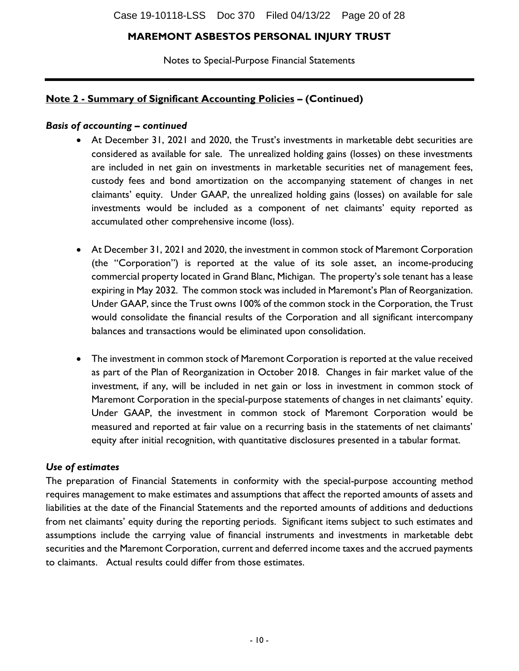Case 19-10118-LSS Doc 370 Filed 04/13/22 Page 20 of 28

# **MAREMONT ASBESTOS PERSONAL INJURY TRUST**

Notes to Special-Purpose Financial Statements

# **Note 2 - Summary of Significant Accounting Policies – (Continued)**

#### *Basis of accounting – continued*

- At December 31, 2021 and 2020, the Trust's investments in marketable debt securities are considered as available for sale. The unrealized holding gains (losses) on these investments are included in net gain on investments in marketable securities net of management fees, custody fees and bond amortization on the accompanying statement of changes in net claimants' equity. Under GAAP, the unrealized holding gains (losses) on available for sale investments would be included as a component of net claimants' equity reported as accumulated other comprehensive income (loss).
- At December 31, 2021 and 2020, the investment in common stock of Maremont Corporation (the "Corporation") is reported at the value of its sole asset, an income-producing commercial property located in Grand Blanc, Michigan. The property's sole tenant has a lease expiring in May 2032. The common stock was included in Maremont's Plan of Reorganization. Under GAAP, since the Trust owns 100% of the common stock in the Corporation, the Trust would consolidate the financial results of the Corporation and all significant intercompany balances and transactions would be eliminated upon consolidation.
- The investment in common stock of Maremont Corporation is reported at the value received as part of the Plan of Reorganization in October 2018. Changes in fair market value of the investment, if any, will be included in net gain or loss in investment in common stock of Maremont Corporation in the special-purpose statements of changes in net claimants' equity. Under GAAP, the investment in common stock of Maremont Corporation would be measured and reported at fair value on a recurring basis in the statements of net claimants' equity after initial recognition, with quantitative disclosures presented in a tabular format.

## *Use of estimates*

The preparation of Financial Statements in conformity with the special-purpose accounting method requires management to make estimates and assumptions that affect the reported amounts of assets and liabilities at the date of the Financial Statements and the reported amounts of additions and deductions from net claimants' equity during the reporting periods. Significant items subject to such estimates and assumptions include the carrying value of financial instruments and investments in marketable debt securities and the Maremont Corporation, current and deferred income taxes and the accrued payments to claimants. Actual results could differ from those estimates.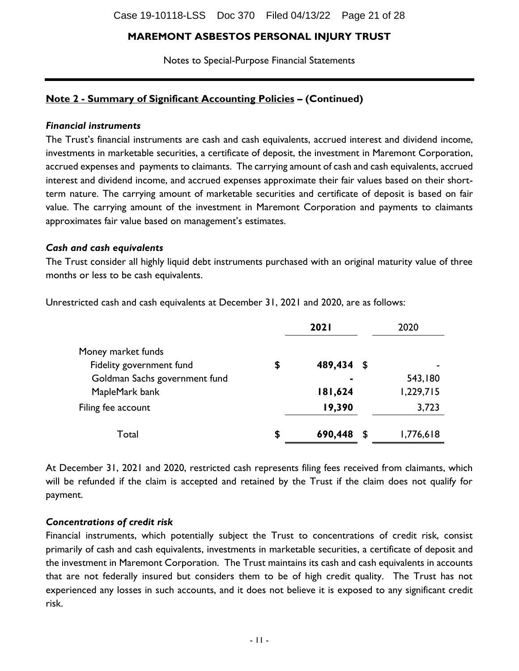Case 19-10118-LSS Doc 370 Filed 04/13/22 Page 21 of 28

# **MAREMONT ASBESTOS PERSONAL INJURY TRUST**

Notes to Special-Purpose Financial Statements

#### **Note 2 - Summary of Significant Accounting Policies – (Continued)**

#### *Financial instruments*

The Trust's financial instruments are cash and cash equivalents, accrued interest and dividend income, investments in marketable securities, a certificate of deposit, the investment in Maremont Corporation, accrued expenses and payments to claimants. The carrying amount of cash and cash equivalents, accrued interest and dividend income, and accrued expenses approximate their fair values based on their shortterm nature. The carrying amount of marketable securities and certificate of deposit is based on fair value. The carrying amount of the investment in Maremont Corporation and payments to claimants approximates fair value based on management's estimates.

#### *Cash and cash equivalents*

The Trust consider all highly liquid debt instruments purchased with an original maturity value of three months or less to be cash equivalents.

Unrestricted cash and cash equivalents at December 31, 2021 and 2020, are as follows:

|                               | <b>2021</b>      |      | 2020      |
|-------------------------------|------------------|------|-----------|
| Money market funds            |                  |      |           |
| Fidelity government fund      | \$<br>489,434 \$ |      |           |
| Goldman Sachs government fund |                  |      | 543,180   |
| MapleMark bank                | 181,624          |      | 1,229,715 |
| Filing fee account            | 19,390           |      | 3,723     |
| Total                         | \$<br>690,448    | - \$ | 1,776,618 |

At December 31, 2021 and 2020, restricted cash represents filing fees received from claimants, which will be refunded if the claim is accepted and retained by the Trust if the claim does not qualify for payment.

#### *Concentrations of credit risk*

Financial instruments, which potentially subject the Trust to concentrations of credit risk, consist primarily of cash and cash equivalents, investments in marketable securities, a certificate of deposit and the investment in Maremont Corporation. The Trust maintains its cash and cash equivalents in accounts that are not federally insured but considers them to be of high credit quality. The Trust has not experienced any losses in such accounts, and it does not believe it is exposed to any significant credit risk.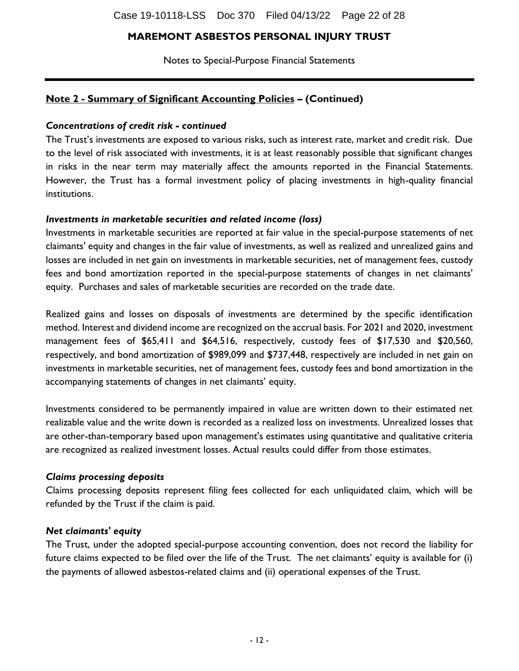Case 19-10118-LSS Doc 370 Filed 04/13/22 Page 22 of 28

# **MAREMONT ASBESTOS PERSONAL INJURY TRUST**

Notes to Special-Purpose Financial Statements

#### **Note 2 - Summary of Significant Accounting Policies – (Continued)**

#### *Concentrations of credit risk - continued*

The Trust's investments are exposed to various risks, such as interest rate, market and credit risk. Due to the level of risk associated with investments, it is at least reasonably possible that significant changes in risks in the near term may materially affect the amounts reported in the Financial Statements. However, the Trust has a formal investment policy of placing investments in high-quality financial institutions.

## *Investments in marketable securities and related income (loss)*

Investments in marketable securities are reported at fair value in the special-purpose statements of net claimants' equity and changes in the fair value of investments, as well as realized and unrealized gains and losses are included in net gain on investments in marketable securities, net of management fees, custody fees and bond amortization reported in the special-purpose statements of changes in net claimants' equity. Purchases and sales of marketable securities are recorded on the trade date.

Realized gains and losses on disposals of investments are determined by the specific identification method. Interest and dividend income are recognized on the accrual basis. For 2021 and 2020, investment management fees of \$65,411 and \$64,516, respectively, custody fees of \$17,530 and \$20,560, respectively, and bond amortization of \$989,099 and \$737,448, respectively are included in net gain on investments in marketable securities, net of management fees, custody fees and bond amortization in the accompanying statements of changes in net claimants' equity.

Investments considered to be permanently impaired in value are written down to their estimated net realizable value and the write down is recorded as a realized loss on investments. Unrealized losses that are other-than-temporary based upon management's estimates using quantitative and qualitative criteria are recognized as realized investment losses. Actual results could differ from those estimates.

#### *Claims processing deposits*

Claims processing deposits represent filing fees collected for each unliquidated claim, which will be refunded by the Trust if the claim is paid.

#### *Net claimants' equity*

The Trust, under the adopted special-purpose accounting convention, does not record the liability for future claims expected to be filed over the life of the Trust. The net claimants' equity is available for (i) the payments of allowed asbestos-related claims and (ii) operational expenses of the Trust.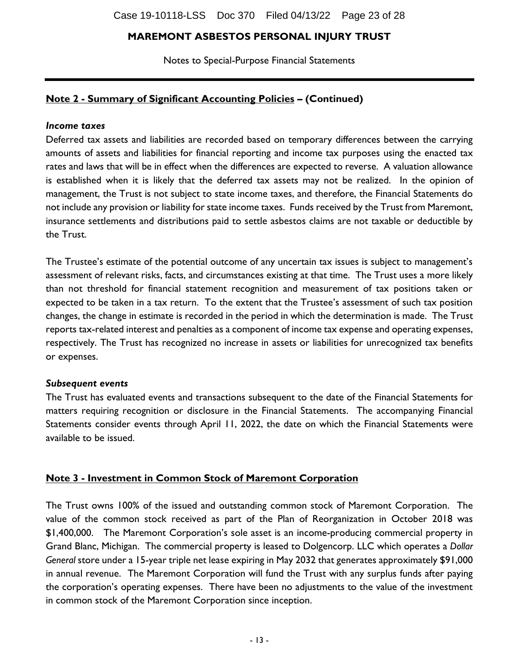Case 19-10118-LSS Doc 370 Filed 04/13/22 Page 23 of 28

# **MAREMONT ASBESTOS PERSONAL INJURY TRUST**

Notes to Special-Purpose Financial Statements

## **Note 2 - Summary of Significant Accounting Policies – (Continued)**

#### *Income taxes*

Deferred tax assets and liabilities are recorded based on temporary differences between the carrying amounts of assets and liabilities for financial reporting and income tax purposes using the enacted tax rates and laws that will be in effect when the differences are expected to reverse. A valuation allowance is established when it is likely that the deferred tax assets may not be realized. In the opinion of management, the Trust is not subject to state income taxes, and therefore, the Financial Statements do not include any provision or liability for state income taxes. Funds received by the Trust from Maremont, insurance settlements and distributions paid to settle asbestos claims are not taxable or deductible by the Trust.

The Trustee's estimate of the potential outcome of any uncertain tax issues is subject to management's assessment of relevant risks, facts, and circumstances existing at that time. The Trust uses a more likely than not threshold for financial statement recognition and measurement of tax positions taken or expected to be taken in a tax return. To the extent that the Trustee's assessment of such tax position changes, the change in estimate is recorded in the period in which the determination is made. The Trust reports tax-related interest and penalties as a component of income tax expense and operating expenses, respectively. The Trust has recognized no increase in assets or liabilities for unrecognized tax benefits or expenses.

#### *Subsequent events*

The Trust has evaluated events and transactions subsequent to the date of the Financial Statements for matters requiring recognition or disclosure in the Financial Statements. The accompanying Financial Statements consider events through April 11, 2022, the date on which the Financial Statements were available to be issued.

## **Note 3 - Investment in Common Stock of Maremont Corporation**

The Trust owns 100% of the issued and outstanding common stock of Maremont Corporation. The value of the common stock received as part of the Plan of Reorganization in October 2018 was \$1,400,000. The Maremont Corporation's sole asset is an income-producing commercial property in Grand Blanc, Michigan. The commercial property is leased to Dolgencorp. LLC which operates a *Dollar General* store under a 15-year triple net lease expiring in May 2032 that generates approximately \$91,000 in annual revenue. The Maremont Corporation will fund the Trust with any surplus funds after paying the corporation's operating expenses. There have been no adjustments to the value of the investment in common stock of the Maremont Corporation since inception.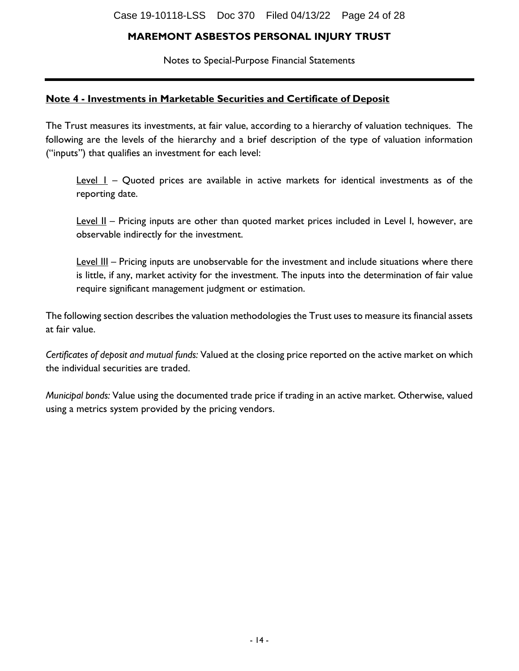Case 19-10118-LSS Doc 370 Filed 04/13/22 Page 24 of 28

# **MAREMONT ASBESTOS PERSONAL INJURY TRUST**

Notes to Special-Purpose Financial Statements

#### **Note 4 - Investments in Marketable Securities and Certificate of Deposit**

The Trust measures its investments, at fair value, according to a hierarchy of valuation techniques. The following are the levels of the hierarchy and a brief description of the type of valuation information ("inputs") that qualifies an investment for each level:

**Level 1** – Quoted prices are available in active markets for identical investments as of the reporting date.

Level II – Pricing inputs are other than quoted market prices included in Level I, however, are observable indirectly for the investment.

Level III – Pricing inputs are unobservable for the investment and include situations where there is little, if any, market activity for the investment. The inputs into the determination of fair value require significant management judgment or estimation.

The following section describes the valuation methodologies the Trust uses to measure its financial assets at fair value.

*Certificates of deposit and mutual funds:* Valued at the closing price reported on the active market on which the individual securities are traded.

*Municipal bonds:* Value using the documented trade price if trading in an active market. Otherwise, valued using a metrics system provided by the pricing vendors.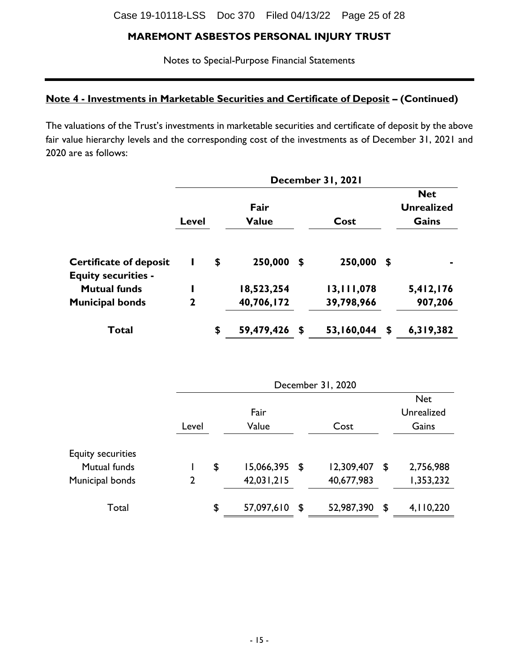Notes to Special-Purpose Financial Statements

# **Note 4 - Investments in Marketable Securities and Certificate of Deposit – (Continued)**

The valuations of the Trust's investments in marketable securities and certificate of deposit by the above fair value hierarchy levels and the corresponding cost of the investments as of December 31, 2021 and 2020 are as follows:

|                                                             | December 31, 2021 |    |                      |    |            |     |                                          |
|-------------------------------------------------------------|-------------------|----|----------------------|----|------------|-----|------------------------------------------|
|                                                             | Level             |    | Fair<br><b>Value</b> |    | Cost       |     | <b>Net</b><br><b>Unrealized</b><br>Gains |
| <b>Certificate of deposit</b><br><b>Equity securities -</b> |                   | \$ | 250,000              | \$ | 250,000    | -\$ |                                          |
| <b>Mutual funds</b>                                         |                   |    | 18,523,254           |    | 13,111,078 |     | 5,412,176                                |
| <b>Municipal bonds</b>                                      | 2                 |    | 40,706,172           |    | 39,798,966 |     | 907,206                                  |
| <b>Total</b>                                                |                   | \$ | 59,479,426 \$        |    | 53,160,044 | \$  | 6,319,382                                |

|                          |       | December 31, 2020 |            |      |            |    |            |  |  |
|--------------------------|-------|-------------------|------------|------|------------|----|------------|--|--|
|                          |       |                   |            |      |            |    | <b>Net</b> |  |  |
|                          |       |                   | Fair       |      |            |    | Unrealized |  |  |
|                          | Level |                   | Value      |      | Cost       |    | Gains      |  |  |
|                          |       |                   |            |      |            |    |            |  |  |
| <b>Equity securities</b> |       |                   |            |      |            |    |            |  |  |
| Mutual funds             |       | \$                | 15,066,395 | - \$ | 12,309,407 | \$ | 2,756,988  |  |  |
| Municipal bonds          | 2     |                   | 42,031,215 |      | 40,677,983 |    | 1,353,232  |  |  |
|                          |       |                   |            |      |            |    |            |  |  |
| Total                    |       | \$                | 57,097,610 | - \$ | 52,987,390 | \$ | 4,110,220  |  |  |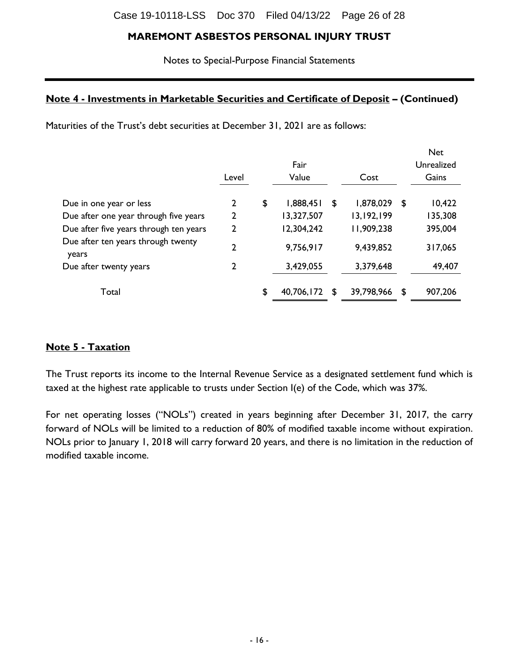Notes to Special-Purpose Financial Statements

# **Note 4 - Investments in Marketable Securities and Certificate of Deposit – (Continued)**

Maturities of the Trust's debt securities at December 31, 2021 are as follows:

|                                             | Level          | Fair<br>Value    |    | Cost       |    | <b>Net</b><br>Unrealized<br>Gains |
|---------------------------------------------|----------------|------------------|----|------------|----|-----------------------------------|
| Due in one year or less                     | 2              | \$<br>1,888,451  | \$ | 1,878,029  | S. | 10,422                            |
| Due after one year through five years       | $\overline{2}$ | 13,327,507       |    | 13,192,199 |    | 135,308                           |
| Due after five years through ten years      | 2              | 12,304,242       |    | 11,909,238 |    | 395,004                           |
| Due after ten years through twenty<br>years | 2              | 9,756,917        |    | 9,439,852  |    | 317,065                           |
| Due after twenty years                      | 2              | 3,429,055        |    | 3,379,648  |    | 49,407                            |
| Total                                       |                | \$<br>40,706,172 | £. | 39,798,966 | \$ | 907,206                           |

## **Note 5 - Taxation**

The Trust reports its income to the Internal Revenue Service as a designated settlement fund which is taxed at the highest rate applicable to trusts under Section I(e) of the Code, which was 37%.

For net operating losses ("NOLs") created in years beginning after December 31, 2017, the carry forward of NOLs will be limited to a reduction of 80% of modified taxable income without expiration. NOLs prior to January 1, 2018 will carry forward 20 years, and there is no limitation in the reduction of modified taxable income.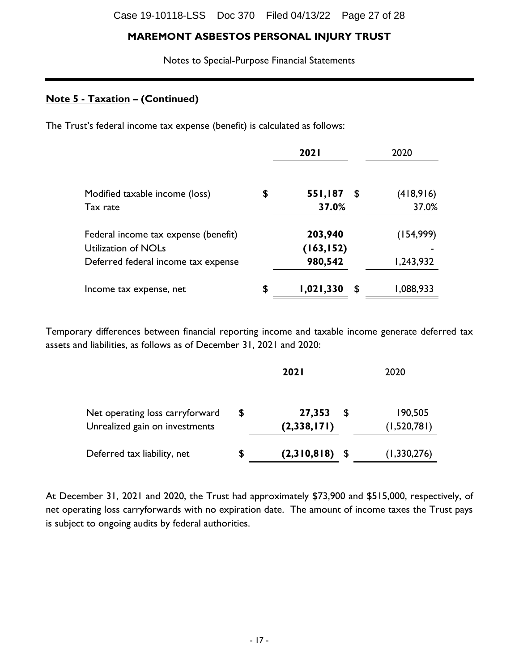Notes to Special-Purpose Financial Statements

# **Note 5 - Taxation – (Continued)**

The Trust's federal income tax expense (benefit) is calculated as follows:

|                                      | <b>2021</b>        | 2020            |
|--------------------------------------|--------------------|-----------------|
| Modified taxable income (loss)       | \$<br>$551,187$ \$ | (418,916)       |
| Tax rate                             | 37.0%              | 37.0%           |
| Federal income tax expense (benefit) | 203,940            | (154,999)       |
| Utilization of NOLs                  | (163, 152)         |                 |
| Deferred federal income tax expense  | 980,542            | 1,243,932       |
| Income tax expense, net              | \$<br>1,021,330    | \$<br>1,088,933 |

Temporary differences between financial reporting income and taxable income generate deferred tax assets and liabilities, as follows as of December 31, 2021 and 2020:

|                                                                   | <b>2021</b>                 | 2020 |                        |  |
|-------------------------------------------------------------------|-----------------------------|------|------------------------|--|
| Net operating loss carryforward<br>Unrealized gain on investments | \$<br>27,353<br>(2,338,171) | \$   | 190,505<br>(1,520,781) |  |
| Deferred tax liability, net                                       | $(2,310,818)$ \$            |      | (1,330,276)            |  |
|                                                                   |                             |      |                        |  |

At December 31, 2021 and 2020, the Trust had approximately \$73,900 and \$515,000, respectively, of net operating loss carryforwards with no expiration date. The amount of income taxes the Trust pays is subject to ongoing audits by federal authorities.